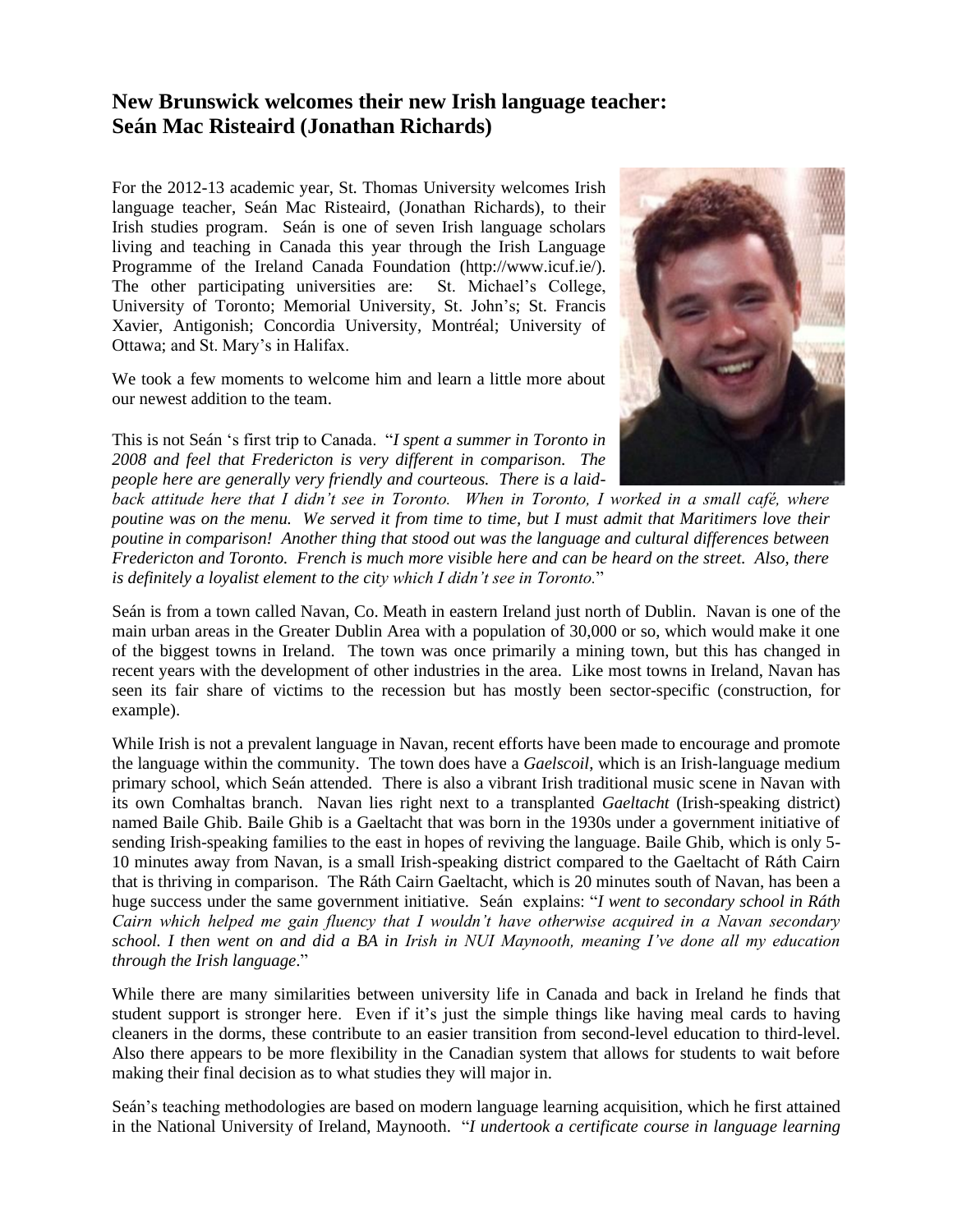## **New Brunswick welcomes their new Irish language teacher: Seán Mac Risteaird (Jonathan Richards)**

For the 2012-13 academic year, St. Thomas University welcomes Irish language teacher, Seán Mac Risteaird, (Jonathan Richards), to their Irish studies program. Seán is one of seven Irish language scholars living and teaching in Canada this year through the Irish Language Programme of the Ireland Canada Foundation (http://www.icuf.ie/). The other participating universities are: St. Michael's College, University of Toronto; Memorial University, St. John's; St. Francis Xavier, Antigonish; Concordia University, Montréal; University of Ottawa; and St. Mary's in Halifax.

We took a few moments to welcome him and learn a little more about our newest addition to the team.

This is not Seán 's first trip to Canada. "*I spent a summer in Toronto in 2008 and feel that Fredericton is very different in comparison. The people here are generally very friendly and courteous. There is a laid-*



*back attitude here that I didn't see in Toronto. When in Toronto, I worked in a small café, where poutine was on the menu. We served it from time to time, but I must admit that Maritimers love their poutine in comparison! Another thing that stood out was the language and cultural differences between Fredericton and Toronto. French is much more visible here and can be heard on the street. Also, there is definitely a loyalist element to the city which I didn't see in Toronto.*"

Seán is from a town called Navan, Co. Meath in eastern Ireland just north of Dublin. Navan is one of the main urban areas in the Greater Dublin Area with a population of 30,000 or so, which would make it one of the biggest towns in Ireland. The town was once primarily a mining town, but this has changed in recent years with the development of other industries in the area. Like most towns in Ireland, Navan has seen its fair share of victims to the recession but has mostly been sector-specific (construction, for example).

While Irish is not a prevalent language in Navan, recent efforts have been made to encourage and promote the language within the community. The town does have a *Gaelscoil*, which is an Irish-language medium primary school, which Seán attended. There is also a vibrant Irish traditional music scene in Navan with its own Comhaltas branch. Navan lies right next to a transplanted *Gaeltacht* (Irish-speaking district) named Baile Ghib. Baile Ghib is a Gaeltacht that was born in the 1930s under a government initiative of sending Irish-speaking families to the east in hopes of reviving the language. Baile Ghib, which is only 5- 10 minutes away from Navan, is a small Irish-speaking district compared to the Gaeltacht of Ráth Cairn that is thriving in comparison. The Ráth Cairn Gaeltacht, which is 20 minutes south of Navan, has been a huge success under the same government initiative. Seán explains: "*I went to secondary school in Ráth Cairn which helped me gain fluency that I wouldn't have otherwise acquired in a Navan secondary school. I then went on and did a BA in Irish in NUI Maynooth, meaning I've done all my education through the Irish language*."

While there are many similarities between university life in Canada and back in Ireland he finds that student support is stronger here. Even if it's just the simple things like having meal cards to having cleaners in the dorms, these contribute to an easier transition from second-level education to third-level. Also there appears to be more flexibility in the Canadian system that allows for students to wait before making their final decision as to what studies they will major in.

Seán's teaching methodologies are based on modern language learning acquisition, which he first attained in the National University of Ireland, Maynooth. "*I undertook a certificate course in language learning*